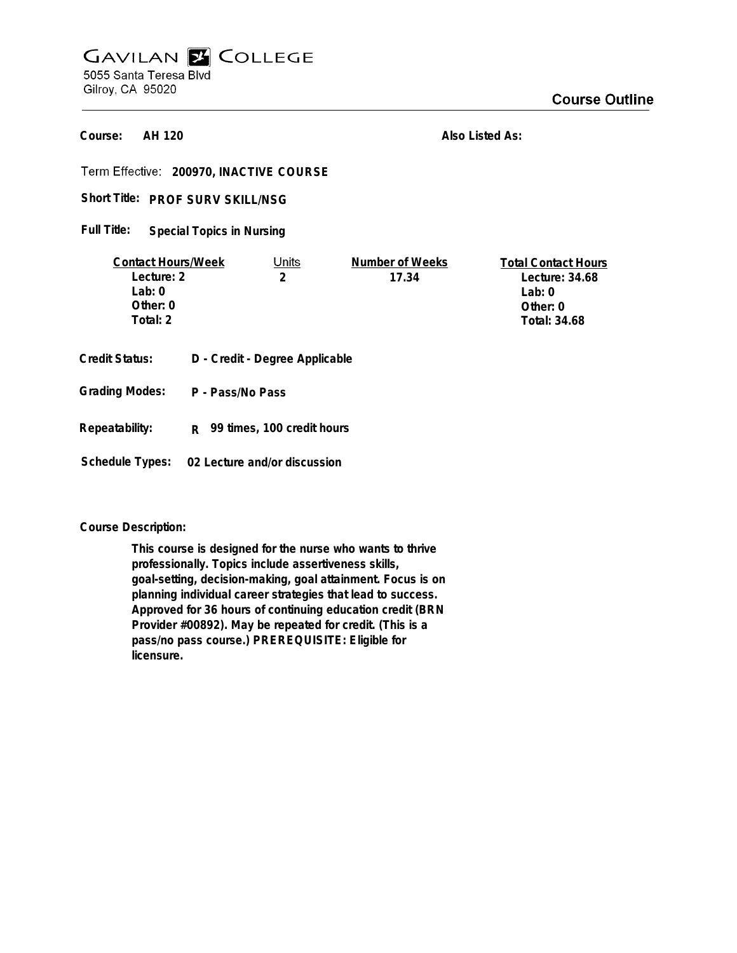## **GAVILAN E COLLEGE** 5055 Santa Teresa Blvd Gilroy, CA 95020

**AH 120 Course:**

**Also Listed As:**

**200970, INACTIVE COURSE**

**PROF SURV SKILL/NSG Short Title:**

**Special Topics in Nursing Full Title:**

| <b>Contact Hours/Week</b> | Jnits | Number of Weeks | <b>Total Contact Hours</b> |
|---------------------------|-------|-----------------|----------------------------|
| Lecture: 2                |       | 17.34           | Lecture: $34.68$           |
| l ab: 0                   |       |                 | Lab:0                      |
| Other: 0                  |       |                 | Other: 0                   |
| Total: 2                  |       |                 | Total: 34.68               |
|                           |       |                 |                            |

- **Credit Status: D Credit Degree Applicable**
- **P Pass/No Pass Grading Modes:**
- **Repeatability: R 99 times, 100 credit hours**

**Schedule Types: 02 Lecture and/or discussion**

**Course Description:**

**This course is designed for the nurse who wants to thrive professionally. Topics include assertiveness skills, goal-setting, decision-making, goal attainment. Focus is on planning individual career strategies that lead to success. Approved for 36 hours of continuing education credit (BRN Provider #00892). May be repeated for credit. (This is a pass/no pass course.) PREREQUISITE: Eligible for licensure.**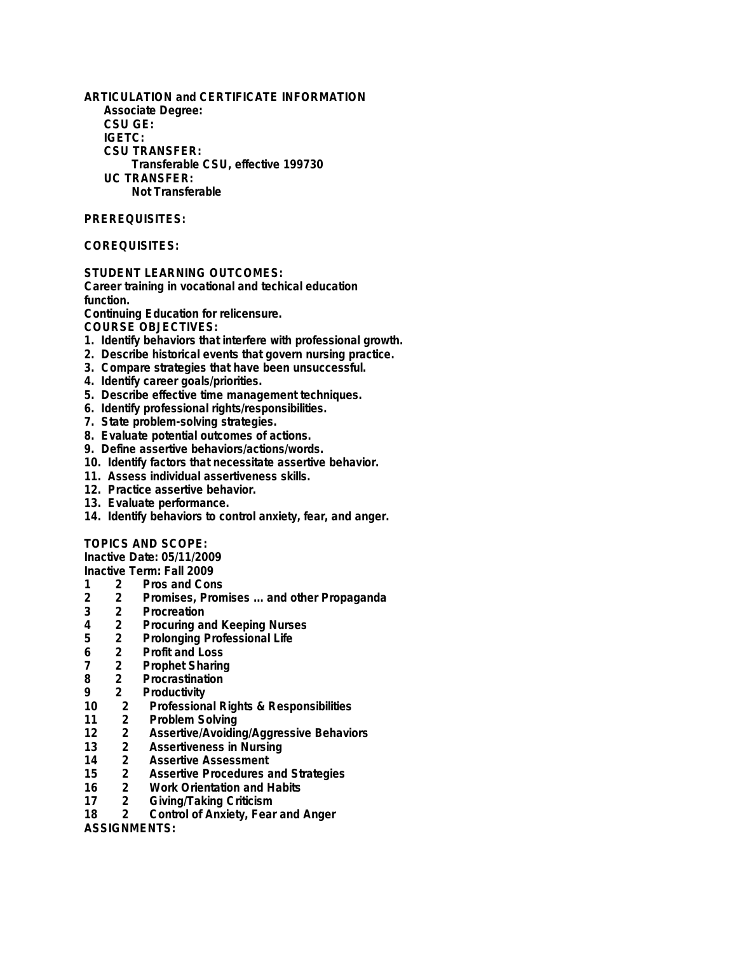**ARTICULATION and CERTIFICATE INFORMATION Associate Degree: CSU GE: IGETC: CSU TRANSFER: Transferable CSU, effective 199730 UC TRANSFER: Not Transferable**

#### **PREREQUISITES:**

### **COREQUISITES:**

**STUDENT LEARNING OUTCOMES:**

**Career training in vocational and techical education function.**

**Continuing Education for relicensure.**

**COURSE OBJECTIVES:**

- **1. Identify behaviors that interfere with professional growth.**
- **2. Describe historical events that govern nursing practice.**
- **3. Compare strategies that have been unsuccessful.**
- **4. Identify career goals/priorities.**
- **5. Describe effective time management techniques.**
- **6. Identify professional rights/responsibilities.**
- **7. State problem-solving strategies.**
- **8. Evaluate potential outcomes of actions.**
- **9. Define assertive behaviors/actions/words.**
- **10. Identify factors that necessitate assertive behavior.**
- **11. Assess individual assertiveness skills.**
- **12. Practice assertive behavior.**
- **13. Evaluate performance.**
- **14. Identify behaviors to control anxiety, fear, and anger.**

#### **TOPICS AND SCOPE:**

**Inactive Date: 05/11/2009**

# **Inactive Term: Fall 2009**

- **1 2 Pros and Cons 2 2 Promises, Promises ... and other Propaganda**
- **3 2 Procreation**
- **4 2 Procuring and Keeping Nurses**
- **5 2 Prolonging Professional Life**
- 
- **6 2 Profit and Loss**
- **7 2 Prophet Sharing**
- **8 2 Procrastination**
- **9 2 Productivity 10 2 Professional Rights & Responsibilities**
- **11 2 Problem Solving**
- **12 2 Assertive/Avoiding/Aggressive Behaviors**
- **13 2 Assertiveness in Nursing**
- **14 2 Assertive Assessment**
- **15 2 Assertive Procedures and Strategies**
- **16 2 Work Orientation and Habits**
- **17 2 Giving/Taking Criticism**
- **18 2 Control of Anxiety, Fear and Anger**

**ASSIGNMENTS:**